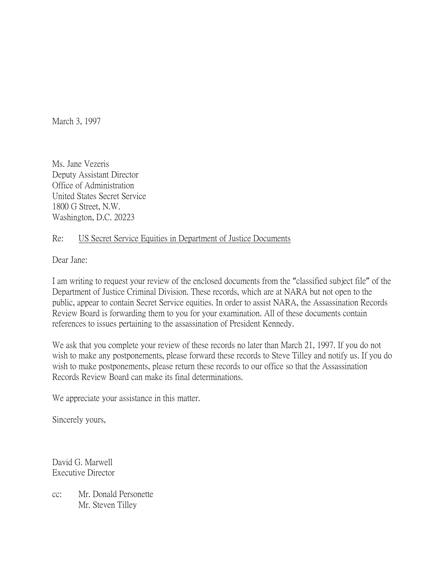March 3, 1997

Ms. Jane Vezeris Deputy Assistant Director Office of Administration United States Secret Service 1800 G Street, N.W. Washington, D.C. 20223

## Re: US Secret Service Equities in Department of Justice Documents

Dear Jane:

I am writing to request your review of the enclosed documents from the "classified subject file" of the Department of Justice Criminal Division. These records, which are at NARA but not open to the public, appear to contain Secret Service equities. In order to assist NARA, the Assassination Records Review Board is forwarding them to you for your examination. All of these documents contain references to issues pertaining to the assassination of President Kennedy.

We ask that you complete your review of these records no later than March 21, 1997. If you do not wish to make any postponements, please forward these records to Steve Tilley and notify us. If you do wish to make postponements, please return these records to our office so that the Assassination Records Review Board can make its final determinations.

We appreciate your assistance in this matter.

Sincerely yours,

David G. Marwell Executive Director

cc: Mr. Donald Personette Mr. Steven Tilley